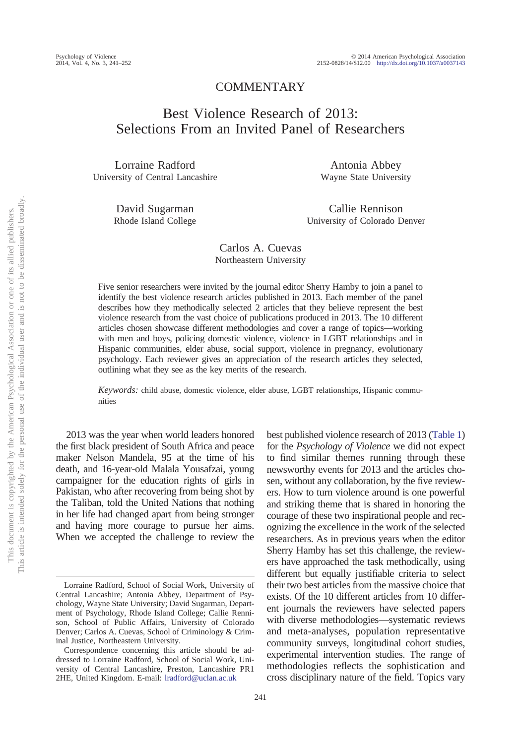# **COMMENTARY**

# Best Violence Research of 2013: Selections From an Invited Panel of Researchers

Lorraine Radford University of Central Lancashire

> David Sugarman Rhode Island College

Antonia Abbey Wayne State University

Callie Rennison University of Colorado Denver

### Carlos A. Cuevas Northeastern University

Five senior researchers were invited by the journal editor Sherry Hamby to join a panel to identify the best violence research articles published in 2013. Each member of the panel describes how they methodically selected 2 articles that they believe represent the best violence research from the vast choice of publications produced in 2013. The 10 different articles chosen showcase different methodologies and cover a range of topics—working with men and boys, policing domestic violence, violence in LGBT relationships and in Hispanic communities, elder abuse, social support, violence in pregnancy, evolutionary psychology. Each reviewer gives an appreciation of the research articles they selected, outlining what they see as the key merits of the research.

*Keywords:* child abuse, domestic violence, elder abuse, LGBT relationships, Hispanic communities

2013 was the year when world leaders honored the first black president of South Africa and peace maker Nelson Mandela, 95 at the time of his death, and 16-year-old Malala Yousafzai, young campaigner for the education rights of girls in Pakistan, who after recovering from being shot by the Taliban, told the United Nations that nothing in her life had changed apart from being stronger and having more courage to pursue her aims. When we accepted the challenge to review the best published violence research of 2013 [\(Table 1\)](#page-1-0) for the *Psychology of Violence* we did not expect to find similar themes running through these newsworthy events for 2013 and the articles chosen, without any collaboration, by the five reviewers. How to turn violence around is one powerful and striking theme that is shared in honoring the courage of these two inspirational people and recognizing the excellence in the work of the selected researchers. As in previous years when the editor Sherry Hamby has set this challenge, the reviewers have approached the task methodically, using different but equally justifiable criteria to select their two best articles from the massive choice that exists. Of the 10 different articles from 10 different journals the reviewers have selected papers with diverse methodologies—systematic reviews and meta-analyses, population representative community surveys, longitudinal cohort studies, experimental intervention studies. The range of methodologies reflects the sophistication and cross disciplinary nature of the field. Topics vary

Lorraine Radford, School of Social Work, University of Central Lancashire; Antonia Abbey, Department of Psychology, Wayne State University; David Sugarman, Department of Psychology, Rhode Island College; Callie Rennison, School of Public Affairs, University of Colorado Denver; Carlos A. Cuevas, School of Criminology & Criminal Justice, Northeastern University.

Correspondence concerning this article should be addressed to Lorraine Radford, School of Social Work, University of Central Lancashire, Preston, Lancashire PR1 2HE, United Kingdom. E-mail: [lradford@uclan.ac.uk](mailto:lradford@uclan.ac.uk)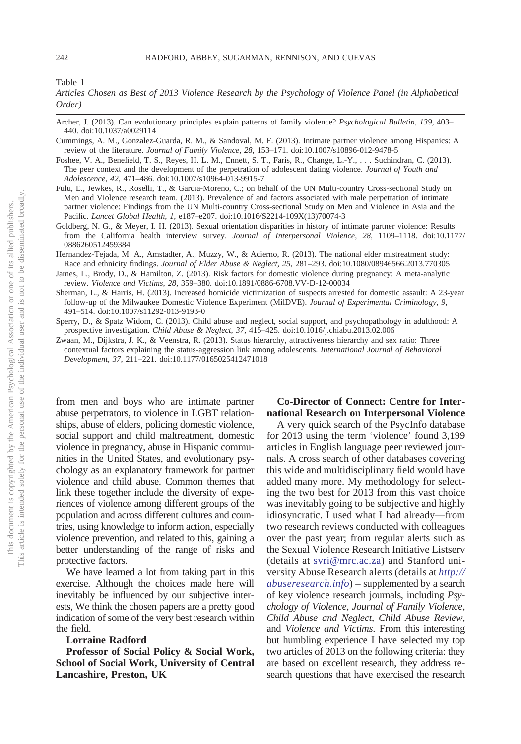<span id="page-1-0"></span>Table 1

*Articles Chosen as Best of 2013 Violence Research by the Psychology of Violence Panel (in Alphabetical Order)*

- Archer, J. (2013). Can evolutionary principles explain patterns of family violence? *Psychological Bulletin, 139,* 403– 440. doi:10.1037/a0029114
- Cummings, A. M., Gonzalez-Guarda, R. M., & Sandoval, M. F. (2013). Intimate partner violence among Hispanics: A review of the literature. *Journal of Family Violence, 28,* 153–171. doi:10.1007/s10896-012-9478-5
- Foshee, V. A., Benefield, T. S., Reyes, H. L. M., Ennett, S. T., Faris, R., Change, L.-Y.,... Suchindran, C. (2013). The peer context and the development of the perpetration of adolescent dating violence. *Journal of Youth and Adolescence, 42,* 471–486. doi:10.1007/s10964-013-9915-7
- Fulu, E., Jewkes, R., Roselli, T., & Garcia-Moreno, C.; on behalf of the UN Multi-country Cross-sectional Study on Men and Violence research team. (2013). Prevalence of and factors associated with male perpetration of intimate partner violence: Findings from the UN Multi-country Cross-sectional Study on Men and Violence in Asia and the Pacific. *Lancet Global Health, 1,* e187–e207. doi:10.1016/S2214-109X(13)70074-3
- Goldberg, N. G., & Meyer, I. H. (2013). Sexual orientation disparities in history of intimate partner violence: Results from the California health interview survey. *Journal of Interpersonal Violence, 28,* 1109–1118. doi:10.1177/ 0886260512459384
- Hernandez-Tejada, M. A., Amstadter, A., Muzzy, W., & Acierno, R. (2013). The national elder mistreatment study: Race and ethnicity findings. *Journal of Elder Abuse & Neglect, 25,* 281–293. doi:10.1080/08946566.2013.770305
- James, L., Brody, D., & Hamilton, Z. (2013). Risk factors for domestic violence during pregnancy: A meta-analytic review. *Violence and Victims, 28,* 359–380. doi:10.1891/0886-6708.VV-D-12-00034
- Sherman, L., & Harris, H. (2013). Increased homicide victimization of suspects arrested for domestic assault: A 23-year follow-up of the Milwaukee Domestic Violence Experiment (MilDVE). *Journal of Experimental Criminology, 9,* 491–514. doi:10.1007/s11292-013-9193-0
- Sperry, D., & Spatz Widom, C. (2013). Child abuse and neglect, social support, and psychopathology in adulthood: A prospective investigation. *Child Abuse & Neglect, 37,* 415–425. doi:10.1016/j.chiabu.2013.02.006
- Zwaan, M., Dijkstra, J. K., & Veenstra, R. (2013). Status hierarchy, attractiveness hierarchy and sex ratio: Three contextual factors explaining the status-aggression link among adolescents. *International Journal of Behavioral Development, 37,* 211–221. doi:10.1177/0165025412471018

from men and boys who are intimate partner abuse perpetrators, to violence in LGBT relationships, abuse of elders, policing domestic violence, social support and child maltreatment, domestic violence in pregnancy, abuse in Hispanic communities in the United States, and evolutionary psychology as an explanatory framework for partner violence and child abuse. Common themes that link these together include the diversity of experiences of violence among different groups of the population and across different cultures and countries, using knowledge to inform action, especially violence prevention, and related to this, gaining a better understanding of the range of risks and protective factors.

We have learned a lot from taking part in this exercise. Although the choices made here will inevitably be influenced by our subjective interests, We think the chosen papers are a pretty good indication of some of the very best research within the field.

#### **Lorraine Radford**

**Professor of Social Policy & Social Work, School of Social Work, University of Central Lancashire, Preston, UK**

## **Co-Director of Connect: Centre for International Research on Interpersonal Violence**

A very quick search of the PsycInfo database for 2013 using the term 'violence' found 3,199 articles in English language peer reviewed journals. A cross search of other databases covering this wide and multidisciplinary field would have added many more. My methodology for selecting the two best for 2013 from this vast choice was inevitably going to be subjective and highly idiosyncratic. I used what I had already—from two research reviews conducted with colleagues over the past year; from regular alerts such as the Sexual Violence Research Initiative Listserv (details at [svri@mrc.ac.za\)](mailto:svri@mrc.ac.za) and Stanford university Abuse Research alerts (details at *[http://](http://abuseresearch.info) [abuseresearch.info](http://abuseresearch.info)*) – supplemented by a search of key violence research journals, including *Psychology of Violence*, *Journal of Family Violence*, *Child Abuse and Neglect*, *Child Abuse Review*, and *Violence and Victims*. From this interesting but humbling experience I have selected my top two articles of 2013 on the following criteria: they are based on excellent research, they address research questions that have exercised the research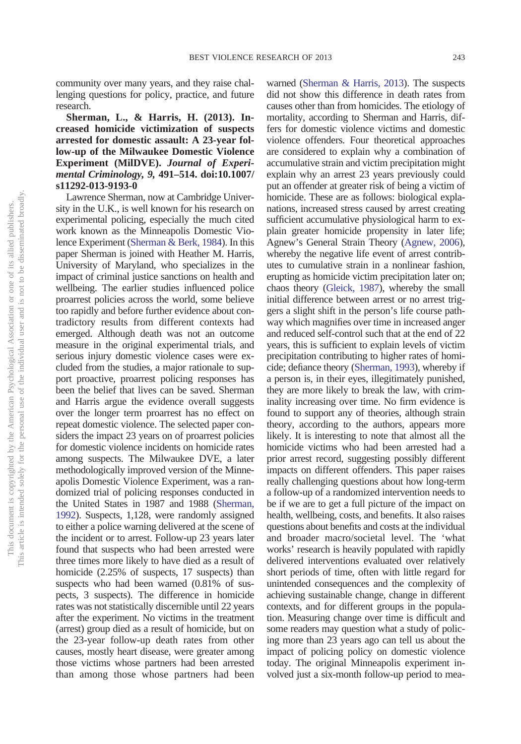community over many years, and they raise challenging questions for policy, practice, and future research.

**Sherman, L., & Harris, H. (2013). Increased homicide victimization of suspects arrested for domestic assault: A 23-year follow-up of the Milwaukee Domestic Violence Experiment (MilDVE).** *Journal of Experimental Criminology, 9,* **491–514. doi:10.1007/ s11292-013-9193-0**

Lawrence Sherman, now at Cambridge University in the U.K., is well known for his research on experimental policing, especially the much cited work known as the Minneapolis Domestic Violence Experiment [\(Sherman & Berk, 1984\)](#page-11-0). In this paper Sherman is joined with Heather M. Harris, University of Maryland, who specializes in the impact of criminal justice sanctions on health and wellbeing. The earlier studies influenced police proarrest policies across the world, some believe too rapidly and before further evidence about contradictory results from different contexts had emerged. Although death was not an outcome measure in the original experimental trials, and serious injury domestic violence cases were excluded from the studies, a major rationale to support proactive, proarrest policing responses has been the belief that lives can be saved. Sherman and Harris argue the evidence overall suggests over the longer term proarrest has no effect on repeat domestic violence. The selected paper considers the impact 23 years on of proarrest policies for domestic violence incidents on homicide rates among suspects. The Milwaukee DVE, a later methodologically improved version of the Minneapolis Domestic Violence Experiment, was a randomized trial of policing responses conducted in the United States in 1987 and 1988 [\(Sherman,](#page-11-1) [1992\)](#page-11-1). Suspects, 1,128, were randomly assigned to either a police warning delivered at the scene of the incident or to arrest. Follow-up 23 years later found that suspects who had been arrested were three times more likely to have died as a result of homicide (2.25% of suspects, 17 suspects) than suspects who had been warned (0.81% of suspects, 3 suspects). The difference in homicide rates was not statistically discernible until 22 years after the experiment. No victims in the treatment (arrest) group died as a result of homicide, but on the 23-year follow-up death rates from other causes, mostly heart disease, were greater among those victims whose partners had been arrested than among those whose partners had been

warned [\(Sherman & Harris, 2013\)](#page-11-2). The suspects did not show this difference in death rates from causes other than from homicides. The etiology of mortality, according to Sherman and Harris, differs for domestic violence victims and domestic violence offenders. Four theoretical approaches are considered to explain why a combination of accumulative strain and victim precipitation might explain why an arrest 23 years previously could put an offender at greater risk of being a victim of homicide. These are as follows: biological explanations, increased stress caused by arrest creating sufficient accumulative physiological harm to explain greater homicide propensity in later life; Agnew's General Strain Theory [\(Agnew, 2006\)](#page-10-0), whereby the negative life event of arrest contributes to cumulative strain in a nonlinear fashion, erupting as homicide victim precipitation later on; chaos theory [\(Gleick, 1987\)](#page-10-1), whereby the small initial difference between arrest or no arrest triggers a slight shift in the person's life course pathway which magnifies over time in increased anger and reduced self-control such that at the end of 22 years, this is sufficient to explain levels of victim precipitation contributing to higher rates of homicide; defiance theory [\(Sherman, 1993\)](#page-11-3), whereby if a person is, in their eyes, illegitimately punished, they are more likely to break the law, with criminality increasing over time. No firm evidence is found to support any of theories, although strain theory, according to the authors, appears more likely. It is interesting to note that almost all the homicide victims who had been arrested had a prior arrest record, suggesting possibly different impacts on different offenders. This paper raises really challenging questions about how long-term a follow-up of a randomized intervention needs to be if we are to get a full picture of the impact on health, wellbeing, costs, and benefits. It also raises questions about benefits and costs at the individual and broader macro/societal level. The 'what works' research is heavily populated with rapidly delivered interventions evaluated over relatively short periods of time, often with little regard for unintended consequences and the complexity of achieving sustainable change, change in different contexts, and for different groups in the population. Measuring change over time is difficult and some readers may question what a study of policing more than 23 years ago can tell us about the impact of policing policy on domestic violence today. The original Minneapolis experiment involved just a six-month follow-up period to mea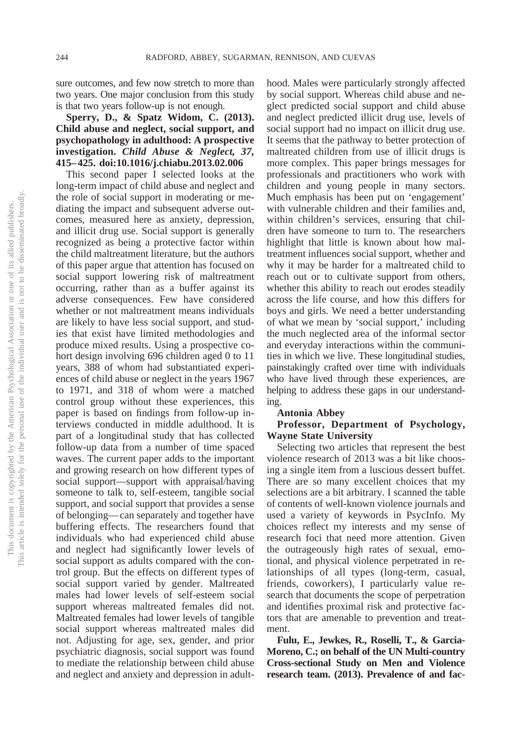sure outcomes, and few now stretch to more than two years. One major conclusion from this study is that two years follow-up is not enough.

## **Sperry, D., & Spatz Widom, C. (2013). Child abuse and neglect, social support, and psychopathology in adulthood: A prospective investigation.** *Child Abuse & Neglect, 37,* **415–425. doi:10.1016/j.chiabu.2013.02.006**

This second paper I selected looks at the long-term impact of child abuse and neglect and the role of social support in moderating or mediating the impact and subsequent adverse outcomes, measured here as anxiety, depression, and illicit drug use. Social support is generally recognized as being a protective factor within the child maltreatment literature, but the authors of this paper argue that attention has focused on social support lowering risk of maltreatment occurring, rather than as a buffer against its adverse consequences. Few have considered whether or not maltreatment means individuals are likely to have less social support, and studies that exist have limited methodologies and produce mixed results. Using a prospective cohort design involving 696 children aged 0 to 11 years, 388 of whom had substantiated experiences of child abuse or neglect in the years 1967 to 1971, and 318 of whom were a matched control group without these experiences, this paper is based on findings from follow-up interviews conducted in middle adulthood. It is part of a longitudinal study that has collected follow-up data from a number of time spaced waves. The current paper adds to the important and growing research on how different types of social support—support with appraisal/having someone to talk to, self-esteem, tangible social support, and social support that provides a sense of belonging—can separately and together have buffering effects. The researchers found that individuals who had experienced child abuse and neglect had significantly lower levels of social support as adults compared with the control group. But the effects on different types of social support varied by gender. Maltreated males had lower levels of self-esteem social support whereas maltreated females did not. Maltreated females had lower levels of tangible social support whereas maltreated males did not. Adjusting for age, sex, gender, and prior psychiatric diagnosis, social support was found to mediate the relationship between child abuse and neglect and anxiety and depression in adult-

hood. Males were particularly strongly affected by social support. Whereas child abuse and neglect predicted social support and child abuse and neglect predicted illicit drug use, levels of social support had no impact on illicit drug use. It seems that the pathway to better protection of maltreated children from use of illicit drugs is more complex. This paper brings messages for professionals and practitioners who work with children and young people in many sectors. Much emphasis has been put on 'engagement' with vulnerable children and their families and, within children's services, ensuring that children have someone to turn to. The researchers highlight that little is known about how maltreatment influences social support, whether and why it may be harder for a maltreated child to reach out or to cultivate support from others, whether this ability to reach out erodes steadily across the life course, and how this differs for boys and girls. We need a better understanding of what we mean by 'social support,' including the much neglected area of the informal sector and everyday interactions within the communities in which we live. These longitudinal studies, painstakingly crafted over time with individuals who have lived through these experiences, are helping to address these gaps in our understanding.

#### **Antonia Abbey**

### **Professor, Department of Psychology, Wayne State University**

Selecting two articles that represent the best violence research of 2013 was a bit like choosing a single item from a luscious dessert buffet. There are so many excellent choices that my selections are a bit arbitrary. I scanned the table of contents of well-known violence journals and used a variety of keywords in PsycInfo. My choices reflect my interests and my sense of research foci that need more attention. Given the outrageously high rates of sexual, emotional, and physical violence perpetrated in relationships of all types (long-term, casual, friends, coworkers), I particularly value research that documents the scope of perpetration and identifies proximal risk and protective factors that are amenable to prevention and treatment.

**Fulu, E., Jewkes, R., Roselli, T., & Garcia-Moreno, C.; on behalf of the UN Multi-country Cross-sectional Study on Men and Violence research team. (2013). Prevalence of and fac-**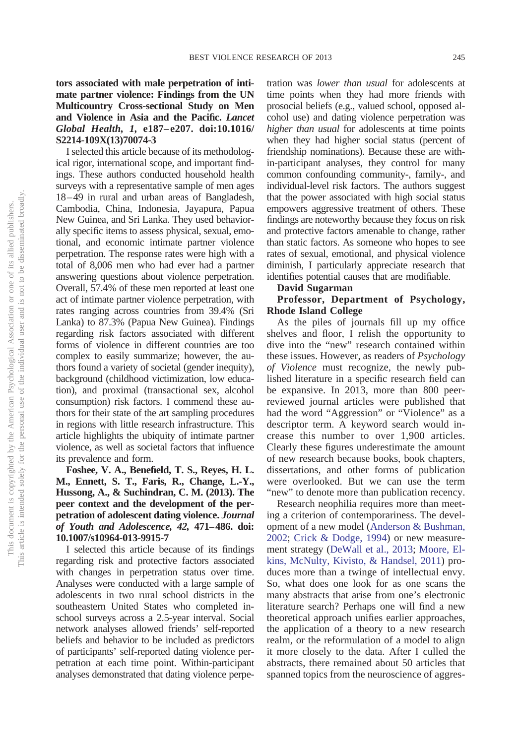## **tors associated with male perpetration of intimate partner violence: Findings from the UN Multicountry Cross-sectional Study on Men and Violence in Asia and the Pacific.** *Lancet Global Health, 1,* **e187–e207. doi:10.1016/ S2214-109X(13)70074-3**

I selected this article because of its methodological rigor, international scope, and important findings. These authors conducted household health surveys with a representative sample of men ages 18–49 in rural and urban areas of Bangladesh, Cambodia, China, Indonesia, Jayapura, Papua New Guinea, and Sri Lanka. They used behaviorally specific items to assess physical, sexual, emotional, and economic intimate partner violence perpetration. The response rates were high with a total of 8,006 men who had ever had a partner answering questions about violence perpetration. Overall, 57.4% of these men reported at least one act of intimate partner violence perpetration, with rates ranging across countries from 39.4% (Sri Lanka) to 87.3% (Papua New Guinea). Findings regarding risk factors associated with different forms of violence in different countries are too complex to easily summarize; however, the authors found a variety of societal (gender inequity), background (childhood victimization, low education), and proximal (transactional sex, alcohol consumption) risk factors. I commend these authors for their state of the art sampling procedures in regions with little research infrastructure. This article highlights the ubiquity of intimate partner violence, as well as societal factors that influence its prevalence and form.

## **Foshee, V. A., Benefield, T. S., Reyes, H. L. M., Ennett, S. T., Faris, R., Change, L.-Y., Hussong, A., & Suchindran, C. M. (2013). The peer context and the development of the perpetration of adolescent dating violence.** *Journal of Youth and Adolescence, 42,* **471–486. doi: 10.1007/s10964-013-9915-7**

I selected this article because of its findings regarding risk and protective factors associated with changes in perpetration status over time. Analyses were conducted with a large sample of adolescents in two rural school districts in the southeastern United States who completed inschool surveys across a 2.5-year interval. Social network analyses allowed friends' self-reported beliefs and behavior to be included as predictors of participants' self-reported dating violence perpetration at each time point. Within-participant analyses demonstrated that dating violence perpe-

tration was *lower than usual* for adolescents at time points when they had more friends with prosocial beliefs (e.g., valued school, opposed alcohol use) and dating violence perpetration was *higher than usual* for adolescents at time points when they had higher social status (percent of friendship nominations). Because these are within-participant analyses, they control for many common confounding community-, family-, and individual-level risk factors. The authors suggest that the power associated with high social status empowers aggressive treatment of others. These findings are noteworthy because they focus on risk and protective factors amenable to change, rather than static factors. As someone who hopes to see rates of sexual, emotional, and physical violence diminish, I particularly appreciate research that identifies potential causes that are modifiable.

#### **David Sugarman**

### **Professor, Department of Psychology, Rhode Island College**

As the piles of journals fill up my office shelves and floor, I relish the opportunity to dive into the "new" research contained within these issues. However, as readers of *Psychology of Violence* must recognize, the newly published literature in a specific research field can be expansive. In 2013, more than 800 peerreviewed journal articles were published that had the word "Aggression" or "Violence" as a descriptor term. A keyword search would increase this number to over 1,900 articles. Clearly these figures underestimate the amount of new research because books, book chapters, dissertations, and other forms of publication were overlooked. But we can use the term "new" to denote more than publication recency.

Research neophilia requires more than meeting a criterion of contemporariness. The development of a new model [\(Anderson & Bushman,](#page-10-2) [2002;](#page-10-2) [Crick & Dodge, 1994\)](#page-10-3) or new measurement strategy [\(DeWall et al., 2013;](#page-10-4) [Moore, El](#page-11-4)[kins, McNulty, Kivisto, & Handsel, 2011\)](#page-11-4) produces more than a twinge of intellectual envy. So, what does one look for as one scans the many abstracts that arise from one's electronic literature search? Perhaps one will find a new theoretical approach unifies earlier approaches, the application of a theory to a new research realm, or the reformulation of a model to align it more closely to the data. After I culled the abstracts, there remained about 50 articles that spanned topics from the neuroscience of aggres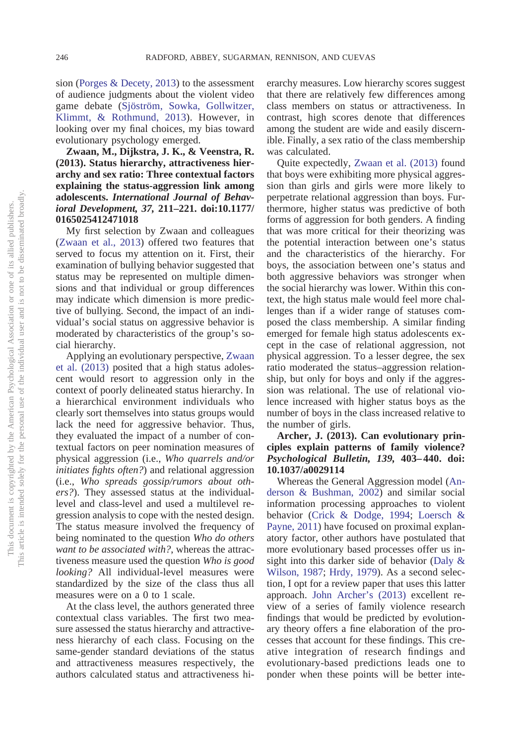sion [\(Porges & Decety, 2013\)](#page-11-5) to the assessment of audience judgments about the violent video game debate [\(Sjöström, Sowka, Gollwitzer,](#page-11-6) [Klimmt, & Rothmund, 2013\)](#page-11-6). However, in looking over my final choices, my bias toward evolutionary psychology emerged.

**Zwaan, M., Dijkstra, J. K., & Veenstra, R. (2013). Status hierarchy, attractiveness hierarchy and sex ratio: Three contextual factors explaining the status-aggression link among adolescents.** *International Journal of Behavioral Development, 37,* **211–221. doi:10.1177/ 0165025412471018**

My first selection by Zwaan and colleagues [\(Zwaan et al., 2013\)](#page-11-7) offered two features that served to focus my attention on it. First, their examination of bullying behavior suggested that status may be represented on multiple dimensions and that individual or group differences may indicate which dimension is more predictive of bullying. Second, the impact of an individual's social status on aggressive behavior is moderated by characteristics of the group's social hierarchy.

Applying an evolutionary perspective, [Zwaan](#page-11-7) [et al. \(2013\)](#page-11-7) posited that a high status adolescent would resort to aggression only in the context of poorly delineated status hierarchy. In a hierarchical environment individuals who clearly sort themselves into status groups would lack the need for aggressive behavior. Thus, they evaluated the impact of a number of contextual factors on peer nomination measures of physical aggression (i.e., *Who quarrels and/or initiates fights often?*) and relational aggression (i.e., *Who spreads gossip/rumors about others?*). They assessed status at the individuallevel and class-level and used a multilevel regression analysis to cope with the nested design. The status measure involved the frequency of being nominated to the question *Who do others want to be associated with?*, whereas the attractiveness measure used the question *Who is good looking?* All individual-level measures were standardized by the size of the class thus all measures were on a 0 to 1 scale.

At the class level, the authors generated three contextual class variables. The first two measure assessed the status hierarchy and attractiveness hierarchy of each class. Focusing on the same-gender standard deviations of the status and attractiveness measures respectively, the authors calculated status and attractiveness hi-

erarchy measures. Low hierarchy scores suggest that there are relatively few differences among class members on status or attractiveness. In contrast, high scores denote that differences among the student are wide and easily discernible. Finally, a sex ratio of the class membership was calculated.

Quite expectedly, [Zwaan et al. \(2013\)](#page-11-7) found that boys were exhibiting more physical aggression than girls and girls were more likely to perpetrate relational aggression than boys. Furthermore, higher status was predictive of both forms of aggression for both genders. A finding that was more critical for their theorizing was the potential interaction between one's status and the characteristics of the hierarchy. For boys, the association between one's status and both aggressive behaviors was stronger when the social hierarchy was lower. Within this context, the high status male would feel more challenges than if a wider range of statuses composed the class membership. A similar finding emerged for female high status adolescents except in the case of relational aggression, not physical aggression. To a lesser degree, the sex ratio moderated the status–aggression relationship, but only for boys and only if the aggression was relational. The use of relational violence increased with higher status boys as the number of boys in the class increased relative to the number of girls.

## **Archer, J. (2013). Can evolutionary principles explain patterns of family violence?** *Psychological Bulletin, 139,* **403–440. doi: 10.1037/a0029114**

Whereas the General Aggression model [\(An](#page-10-2)[derson & Bushman, 2002\)](#page-10-2) and similar social information processing approaches to violent behavior [\(Crick & Dodge, 1994;](#page-10-3) [Loersch &](#page-10-5) [Payne, 2011\)](#page-10-5) have focused on proximal explanatory factor, other authors have postulated that more evolutionary based processes offer us insight into this darker side of behavior [\(Daly &](#page-10-6) [Wilson, 1987;](#page-10-6) [Hrdy, 1979\)](#page-10-7). As a second selection, I opt for a review paper that uses this latter approach. [John Archer's \(2013\)](#page-10-8) excellent review of a series of family violence research findings that would be predicted by evolutionary theory offers a fine elaboration of the processes that account for these findings. This creative integration of research findings and evolutionary-based predictions leads one to ponder when these points will be better inte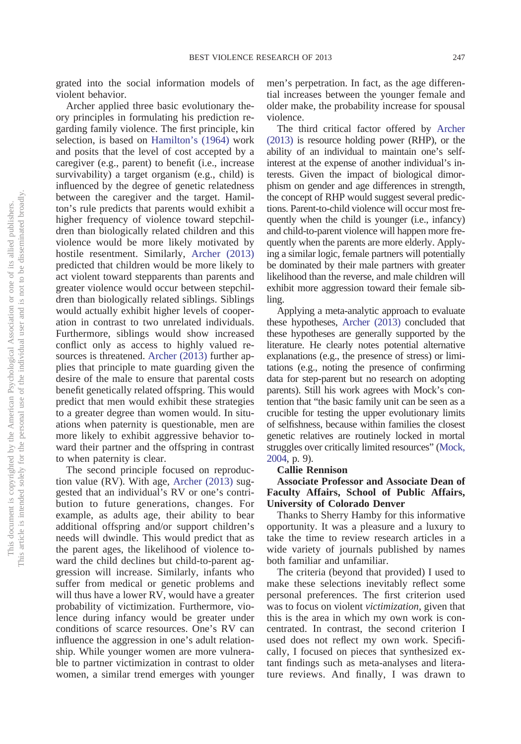grated into the social information models of violent behavior.

Archer applied three basic evolutionary theory principles in formulating his prediction regarding family violence. The first principle, kin selection, is based on [Hamilton's \(1964\)](#page-10-9) work and posits that the level of cost accepted by a caregiver (e.g., parent) to benefit (i.e., increase survivability) a target organism (e.g., child) is influenced by the degree of genetic relatedness between the caregiver and the target. Hamilton's rule predicts that parents would exhibit a higher frequency of violence toward stepchildren than biologically related children and this violence would be more likely motivated by hostile resentment. Similarly, [Archer \(2013\)](#page-10-8) predicted that children would be more likely to act violent toward stepparents than parents and greater violence would occur between stepchildren than biologically related siblings. Siblings would actually exhibit higher levels of cooperation in contrast to two unrelated individuals. Furthermore, siblings would show increased conflict only as access to highly valued resources is threatened. [Archer \(2013\)](#page-10-8) further applies that principle to mate guarding given the desire of the male to ensure that parental costs benefit genetically related offspring. This would predict that men would exhibit these strategies to a greater degree than women would. In situations when paternity is questionable, men are more likely to exhibit aggressive behavior toward their partner and the offspring in contrast to when paternity is clear.

The second principle focused on reproduction value (RV). With age, [Archer \(2013\)](#page-10-8) suggested that an individual's RV or one's contribution to future generations, changes. For example, as adults age, their ability to bear additional offspring and/or support children's needs will dwindle. This would predict that as the parent ages, the likelihood of violence toward the child declines but child-to-parent aggression will increase. Similarly, infants who suffer from medical or genetic problems and will thus have a lower RV, would have a greater probability of victimization. Furthermore, violence during infancy would be greater under conditions of scarce resources. One's RV can influence the aggression in one's adult relationship. While younger women are more vulnerable to partner victimization in contrast to older women, a similar trend emerges with younger

men's perpetration. In fact, as the age differential increases between the younger female and older make, the probability increase for spousal violence.

The third critical factor offered by [Archer](#page-10-8) [\(2013\)](#page-10-8) is resource holding power (RHP), or the ability of an individual to maintain one's selfinterest at the expense of another individual's interests. Given the impact of biological dimorphism on gender and age differences in strength, the concept of RHP would suggest several predictions. Parent-to-child violence will occur most frequently when the child is younger (i.e., infancy) and child-to-parent violence will happen more frequently when the parents are more elderly. Applying a similar logic, female partners will potentially be dominated by their male partners with greater likelihood than the reverse, and male children will exhibit more aggression toward their female sibling.

Applying a meta-analytic approach to evaluate these hypotheses, [Archer \(2013\)](#page-10-8) concluded that these hypotheses are generally supported by the literature. He clearly notes potential alternative explanations (e.g., the presence of stress) or limitations (e.g., noting the presence of confirming data for step-parent but no research on adopting parents). Still his work agrees with Mock's contention that "the basic family unit can be seen as a crucible for testing the upper evolutionary limits of selfishness, because within families the closest genetic relatives are routinely locked in mortal struggles over critically limited resources" [\(Mock,](#page-11-8) [2004,](#page-11-8) p. 9).

#### **Callie Rennison**

# **Associate Professor and Associate Dean of Faculty Affairs, School of Public Affairs, University of Colorado Denver**

Thanks to Sherry Hamby for this informative opportunity. It was a pleasure and a luxury to take the time to review research articles in a wide variety of journals published by names both familiar and unfamiliar.

The criteria (beyond that provided) I used to make these selections inevitably reflect some personal preferences. The first criterion used was to focus on violent *victimization*, given that this is the area in which my own work is concentrated. In contrast, the second criterion I used does not reflect my own work. Specifically, I focused on pieces that synthesized extant findings such as meta-analyses and literature reviews. And finally, I was drawn to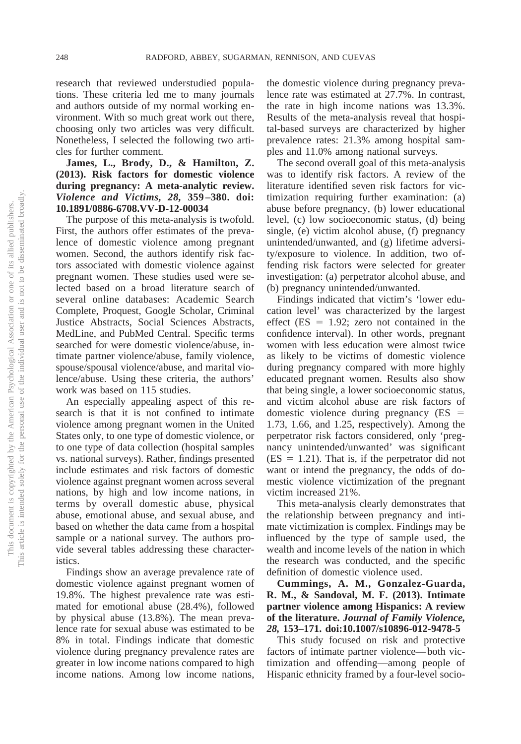research that reviewed understudied populations. These criteria led me to many journals and authors outside of my normal working environment. With so much great work out there, choosing only two articles was very difficult. Nonetheless, I selected the following two articles for further comment.

## **James, L., Brody, D., & Hamilton, Z. (2013). Risk factors for domestic violence during pregnancy: A meta-analytic review.** *Violence and Victims, 28,* **359–380. doi: 10.1891/0886-6708.VV-D-12-00034**

The purpose of this meta-analysis is twofold. First, the authors offer estimates of the prevalence of domestic violence among pregnant women. Second, the authors identify risk factors associated with domestic violence against pregnant women. These studies used were selected based on a broad literature search of several online databases: Academic Search Complete, Proquest, Google Scholar, Criminal Justice Abstracts, Social Sciences Abstracts, MedLine, and PubMed Central. Specific terms searched for were domestic violence/abuse, intimate partner violence/abuse, family violence, spouse/spousal violence/abuse, and marital violence/abuse. Using these criteria, the authors' work was based on 115 studies.

An especially appealing aspect of this research is that it is not confined to intimate violence among pregnant women in the United States only, to one type of domestic violence, or to one type of data collection (hospital samples vs. national surveys). Rather, findings presented include estimates and risk factors of domestic violence against pregnant women across several nations, by high and low income nations, in terms by overall domestic abuse, physical abuse, emotional abuse, and sexual abuse, and based on whether the data came from a hospital sample or a national survey. The authors provide several tables addressing these characteristics.

Findings show an average prevalence rate of domestic violence against pregnant women of 19.8%. The highest prevalence rate was estimated for emotional abuse (28.4%), followed by physical abuse (13.8%). The mean prevalence rate for sexual abuse was estimated to be 8% in total. Findings indicate that domestic violence during pregnancy prevalence rates are greater in low income nations compared to high income nations. Among low income nations, the domestic violence during pregnancy prevalence rate was estimated at 27.7%. In contrast, the rate in high income nations was 13.3%. Results of the meta-analysis reveal that hospital-based surveys are characterized by higher prevalence rates: 21.3% among hospital samples and 11.0% among national surveys.

The second overall goal of this meta-analysis was to identify risk factors. A review of the literature identified seven risk factors for victimization requiring further examination: (a) abuse before pregnancy, (b) lower educational level, (c) low socioeconomic status, (d) being single, (e) victim alcohol abuse, (f) pregnancy unintended/unwanted, and (g) lifetime adversity/exposure to violence. In addition, two offending risk factors were selected for greater investigation: (a) perpetrator alcohol abuse, and (b) pregnancy unintended/unwanted.

Findings indicated that victim's 'lower education level' was characterized by the largest effect  $(ES = 1.92;$  zero not contained in the confidence interval). In other words, pregnant women with less education were almost twice as likely to be victims of domestic violence during pregnancy compared with more highly educated pregnant women. Results also show that being single, a lower socioeconomic status, and victim alcohol abuse are risk factors of domestic violence during pregnancy  $(ES =$ 1.73, 1.66, and 1.25, respectively). Among the perpetrator risk factors considered, only 'pregnancy unintended/unwanted' was significant  $(ES = 1.21)$ . That is, if the perpetrator did not want or intend the pregnancy, the odds of domestic violence victimization of the pregnant victim increased 21%.

This meta-analysis clearly demonstrates that the relationship between pregnancy and intimate victimization is complex. Findings may be influenced by the type of sample used, the wealth and income levels of the nation in which the research was conducted, and the specific definition of domestic violence used.

**Cummings, A. M., Gonzalez-Guarda, R. M., & Sandoval, M. F. (2013). Intimate partner violence among Hispanics: A review of the literature.** *Journal of Family Violence, 28,* **153–171. doi:10.1007/s10896-012-9478-5**

This study focused on risk and protective factors of intimate partner violence—both victimization and offending—among people of Hispanic ethnicity framed by a four-level socio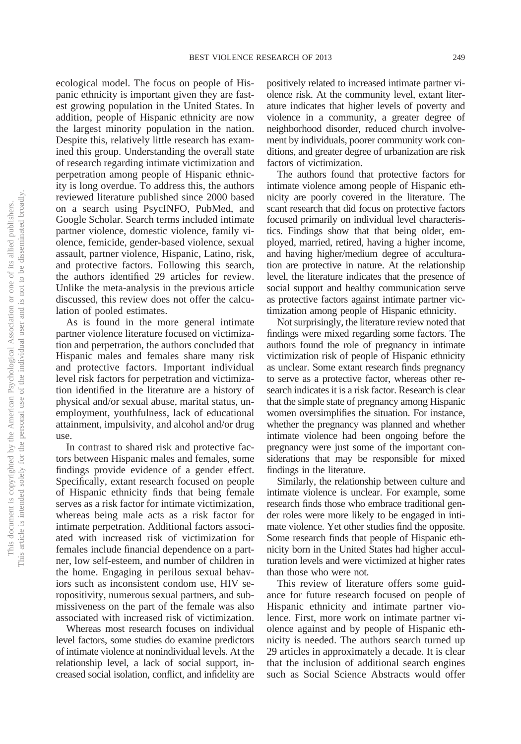ecological model. The focus on people of Hispanic ethnicity is important given they are fastest growing population in the United States. In addition, people of Hispanic ethnicity are now the largest minority population in the nation. Despite this, relatively little research has examined this group. Understanding the overall state of research regarding intimate victimization and perpetration among people of Hispanic ethnicity is long overdue. To address this, the authors reviewed literature published since 2000 based on a search using PsycINFO, PubMed, and Google Scholar. Search terms included intimate partner violence, domestic violence, family violence, femicide, gender-based violence, sexual assault, partner violence, Hispanic, Latino, risk, and protective factors. Following this search, the authors identified 29 articles for review. Unlike the meta-analysis in the previous article discussed, this review does not offer the calculation of pooled estimates.

As is found in the more general intimate partner violence literature focused on victimization and perpetration, the authors concluded that Hispanic males and females share many risk and protective factors. Important individual level risk factors for perpetration and victimization identified in the literature are a history of physical and/or sexual abuse, marital status, unemployment, youthfulness, lack of educational attainment, impulsivity, and alcohol and/or drug use.

In contrast to shared risk and protective factors between Hispanic males and females, some findings provide evidence of a gender effect. Specifically, extant research focused on people of Hispanic ethnicity finds that being female serves as a risk factor for intimate victimization, whereas being male acts as a risk factor for intimate perpetration. Additional factors associated with increased risk of victimization for females include financial dependence on a partner, low self-esteem, and number of children in the home. Engaging in perilous sexual behaviors such as inconsistent condom use, HIV seropositivity, numerous sexual partners, and submissiveness on the part of the female was also associated with increased risk of victimization.

Whereas most research focuses on individual level factors, some studies do examine predictors of intimate violence at nonindividual levels. At the relationship level, a lack of social support, increased social isolation, conflict, and infidelity are positively related to increased intimate partner violence risk. At the community level, extant literature indicates that higher levels of poverty and violence in a community, a greater degree of neighborhood disorder, reduced church involvement by individuals, poorer community work conditions, and greater degree of urbanization are risk factors of victimization.

The authors found that protective factors for intimate violence among people of Hispanic ethnicity are poorly covered in the literature. The scant research that did focus on protective factors focused primarily on individual level characteristics. Findings show that that being older, employed, married, retired, having a higher income, and having higher/medium degree of acculturation are protective in nature. At the relationship level, the literature indicates that the presence of social support and healthy communication serve as protective factors against intimate partner victimization among people of Hispanic ethnicity.

Not surprisingly, the literature review noted that findings were mixed regarding some factors. The authors found the role of pregnancy in intimate victimization risk of people of Hispanic ethnicity as unclear. Some extant research finds pregnancy to serve as a protective factor, whereas other research indicates it is a risk factor. Research is clear that the simple state of pregnancy among Hispanic women oversimplifies the situation. For instance, whether the pregnancy was planned and whether intimate violence had been ongoing before the pregnancy were just some of the important considerations that may be responsible for mixed findings in the literature.

Similarly, the relationship between culture and intimate violence is unclear. For example, some research finds those who embrace traditional gender roles were more likely to be engaged in intimate violence. Yet other studies find the opposite. Some research finds that people of Hispanic ethnicity born in the United States had higher acculturation levels and were victimized at higher rates than those who were not.

This review of literature offers some guidance for future research focused on people of Hispanic ethnicity and intimate partner violence. First, more work on intimate partner violence against and by people of Hispanic ethnicity is needed. The authors search turned up 29 articles in approximately a decade. It is clear that the inclusion of additional search engines such as Social Science Abstracts would offer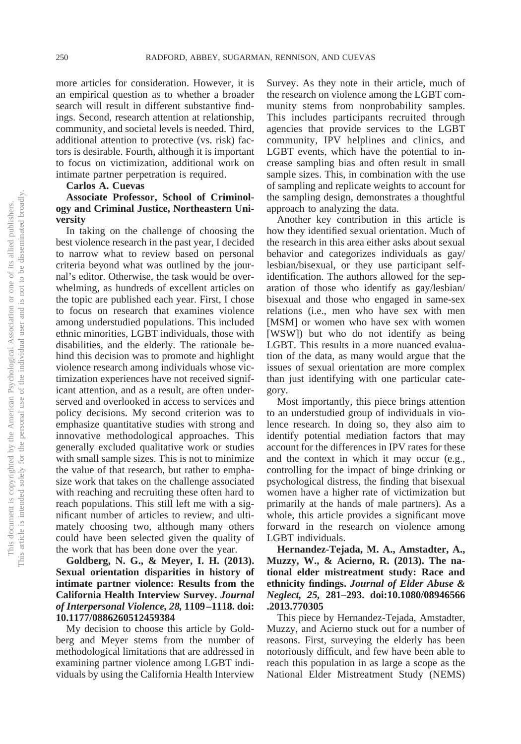more articles for consideration. However, it is an empirical question as to whether a broader search will result in different substantive findings. Second, research attention at relationship, community, and societal levels is needed. Third, additional attention to protective (vs. risk) factors is desirable. Fourth, although it is important to focus on victimization, additional work on intimate partner perpetration is required.

#### **Carlos A. Cuevas**

## **Associate Professor, School of Criminology and Criminal Justice, Northeastern University**

In taking on the challenge of choosing the best violence research in the past year, I decided to narrow what to review based on personal criteria beyond what was outlined by the journal's editor. Otherwise, the task would be overwhelming, as hundreds of excellent articles on the topic are published each year. First, I chose to focus on research that examines violence among understudied populations. This included ethnic minorities, LGBT individuals, those with disabilities, and the elderly. The rationale behind this decision was to promote and highlight violence research among individuals whose victimization experiences have not received significant attention, and as a result, are often underserved and overlooked in access to services and policy decisions. My second criterion was to emphasize quantitative studies with strong and innovative methodological approaches. This generally excluded qualitative work or studies with small sample sizes. This is not to minimize the value of that research, but rather to emphasize work that takes on the challenge associated with reaching and recruiting these often hard to reach populations. This still left me with a significant number of articles to review, and ultimately choosing two, although many others could have been selected given the quality of the work that has been done over the year.

## **Goldberg, N. G., & Meyer, I. H. (2013). Sexual orientation disparities in history of intimate partner violence: Results from the California Health Interview Survey.** *Journal of Interpersonal Violence, 28,* **1109–1118. doi: 10.1177/0886260512459384**

My decision to choose this article by Goldberg and Meyer stems from the number of methodological limitations that are addressed in examining partner violence among LGBT individuals by using the California Health Interview

Survey. As they note in their article, much of the research on violence among the LGBT community stems from nonprobability samples. This includes participants recruited through agencies that provide services to the LGBT community, IPV helplines and clinics, and LGBT events, which have the potential to increase sampling bias and often result in small sample sizes. This, in combination with the use of sampling and replicate weights to account for the sampling design, demonstrates a thoughtful approach to analyzing the data.

Another key contribution in this article is how they identified sexual orientation. Much of the research in this area either asks about sexual behavior and categorizes individuals as gay/ lesbian/bisexual, or they use participant selfidentification. The authors allowed for the separation of those who identify as gay/lesbian/ bisexual and those who engaged in same-sex relations (i.e., men who have sex with men [MSM] or women who have sex with women [WSW]) but who do not identify as being LGBT. This results in a more nuanced evaluation of the data, as many would argue that the issues of sexual orientation are more complex than just identifying with one particular category.

Most importantly, this piece brings attention to an understudied group of individuals in violence research. In doing so, they also aim to identify potential mediation factors that may account for the differences in IPV rates for these and the context in which it may occur (e.g., controlling for the impact of binge drinking or psychological distress, the finding that bisexual women have a higher rate of victimization but primarily at the hands of male partners). As a whole, this article provides a significant move forward in the research on violence among LGBT individuals.

**Hernandez-Tejada, M. A., Amstadter, A., Muzzy, W., & Acierno, R. (2013). The national elder mistreatment study: Race and ethnicity findings.** *Journal of Elder Abuse & Neglect, 25,* **281–293. doi:10.1080/08946566 .2013.770305**

This piece by Hernandez-Tejada, Amstadter, Muzzy, and Acierno stuck out for a number of reasons. First, surveying the elderly has been notoriously difficult, and few have been able to reach this population in as large a scope as the National Elder Mistreatment Study (NEMS)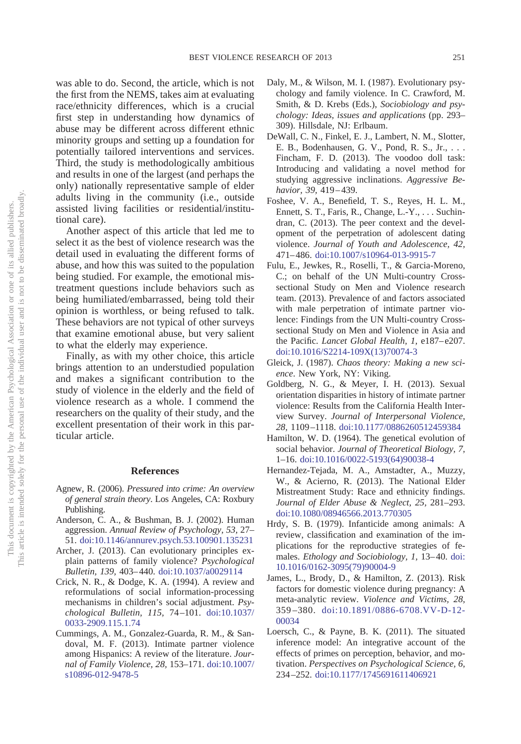was able to do. Second, the article, which is not the first from the NEMS, takes aim at evaluating race/ethnicity differences, which is a crucial first step in understanding how dynamics of abuse may be different across different ethnic minority groups and setting up a foundation for potentially tailored interventions and services. Third, the study is methodologically ambitious and results in one of the largest (and perhaps the only) nationally representative sample of elder adults living in the community (i.e., outside assisted living facilities or residential/institutional care).

Another aspect of this article that led me to select it as the best of violence research was the detail used in evaluating the different forms of abuse, and how this was suited to the population being studied. For example, the emotional mistreatment questions include behaviors such as being humiliated/embarrassed, being told their opinion is worthless, or being refused to talk. These behaviors are not typical of other surveys that examine emotional abuse, but very salient to what the elderly may experience.

Finally, as with my other choice, this article brings attention to an understudied population and makes a significant contribution to the study of violence in the elderly and the field of violence research as a whole. I commend the researchers on the quality of their study, and the excellent presentation of their work in this particular article.

#### **References**

- <span id="page-10-0"></span>Agnew, R. (2006). *Pressured into crime: An overview of general strain theory*. Los Angeles, CA: Roxbury Publishing.
- <span id="page-10-2"></span>Anderson, C. A., & Bushman, B. J. (2002). Human aggression. *Annual Review of Psychology, 53,* 27– 51. [doi:10.1146/annurev.psych.53.100901.135231](http://dx.doi.org/10.1146/annurev.psych.53.100901.135231)
- <span id="page-10-8"></span>Archer, J. (2013). Can evolutionary principles explain patterns of family violence? *Psychological Bulletin, 139,* 403–440. [doi:10.1037/a0029114](http://dx.doi.org/10.1037/a0029114)
- <span id="page-10-3"></span>Crick, N. R., & Dodge, K. A. (1994). A review and reformulations of social information-processing mechanisms in children's social adjustment. *Psychological Bulletin, 115,* 74–101. [doi:10.1037/](http://dx.doi.org/10.1037/0033-2909.115.1.74) [0033-2909.115.1.74](http://dx.doi.org/10.1037/0033-2909.115.1.74)
- Cummings, A. M., Gonzalez-Guarda, R. M., & Sandoval, M. F. (2013). Intimate partner violence among Hispanics: A review of the literature. *Journal of Family Violence, 28,* 153–171. [doi:10.1007/](http://dx.doi.org/10.1007/s10896-012-9478-5) [s10896-012-9478-5](http://dx.doi.org/10.1007/s10896-012-9478-5)
- <span id="page-10-6"></span>Daly, M., & Wilson, M. I. (1987). Evolutionary psychology and family violence. In C. Crawford, M. Smith, & D. Krebs (Eds.), *Sociobiology and psychology: Ideas, issues and applications* (pp. 293– 309). Hillsdale, NJ: Erlbaum.
- <span id="page-10-4"></span>DeWall, C. N., Finkel, E. J., Lambert, N. M., Slotter, E. B., Bodenhausen, G. V., Pond, R. S., Jr., . . . Fincham, F. D. (2013). The voodoo doll task: Introducing and validating a novel method for studying aggressive inclinations. *Aggressive Behavior, 39,* 419–439.
- Foshee, V. A., Benefield, T. S., Reyes, H. L. M., Ennett, S. T., Faris, R., Change, L.-Y., . . . Suchindran, C. (2013). The peer context and the development of the perpetration of adolescent dating violence. *Journal of Youth and Adolescence, 42,* 471–486. [doi:10.1007/s10964-013-9915-7](http://dx.doi.org/10.1007/s10964-013-9915-7)
- Fulu, E., Jewkes, R., Roselli, T., & Garcia-Moreno, C.; on behalf of the UN Multi-country Crosssectional Study on Men and Violence research team. (2013). Prevalence of and factors associated with male perpetration of intimate partner violence: Findings from the UN Multi-country Crosssectional Study on Men and Violence in Asia and the Pacific. *Lancet Global Health, 1,* e187–e207. [doi:10.1016/S2214-109X\(13\)70074-3](http://dx.doi.org/10.1016/S2214-109X%2813%2970074-3)
- <span id="page-10-1"></span>Gleick, J. (1987). *Chaos theory: Making a new science*. New York, NY: Viking.
- Goldberg, N. G., & Meyer, I. H. (2013). Sexual orientation disparities in history of intimate partner violence: Results from the California Health Interview Survey. *Journal of Interpersonal Violence, 28,* 1109–1118. [doi:10.1177/0886260512459384](http://dx.doi.org/10.1177/0886260512459384)
- <span id="page-10-9"></span>Hamilton, W. D. (1964). The genetical evolution of social behavior. *Journal of Theoretical Biology, 7,* 1–16. [doi:10.1016/0022-5193\(64\)90038-4](http://dx.doi.org/10.1016/0022-5193%2864%2990038-4)
- Hernandez-Tejada, M. A., Amstadter, A., Muzzy, W., & Acierno, R. (2013). The National Elder Mistreatment Study: Race and ethnicity findings. *Journal of Elder Abuse & Neglect, 25,* 281–293. [doi:10.1080/08946566.2013.770305](http://dx.doi.org/10.1080/08946566.2013.770305)
- <span id="page-10-7"></span>Hrdy, S. B. (1979). Infanticide among animals: A review, classification and examination of the implications for the reproductive strategies of females. *Ethology and Sociobiology, 1,* 13–40. [doi:](http://dx.doi.org/10.1016/0162-3095%2879%2990004-9) [10.1016/0162-3095\(79\)90004-9](http://dx.doi.org/10.1016/0162-3095%2879%2990004-9)
- James, L., Brody, D., & Hamilton, Z. (2013). Risk factors for domestic violence during pregnancy: A meta-analytic review. *Violence and Victims, 28,* 359–380. [doi:10.1891/0886-6708.VV-D-12-](http://dx.doi.org/10.1891/0886-6708.VV-D-12-00034) [00034](http://dx.doi.org/10.1891/0886-6708.VV-D-12-00034)
- <span id="page-10-5"></span>Loersch, C., & Payne, B. K. (2011). The situated inference model: An integrative account of the effects of primes on perception, behavior, and motivation. *Perspectives on Psychological Science, 6,* 234–252. [doi:10.1177/1745691611406921](http://dx.doi.org/10.1177/1745691611406921)